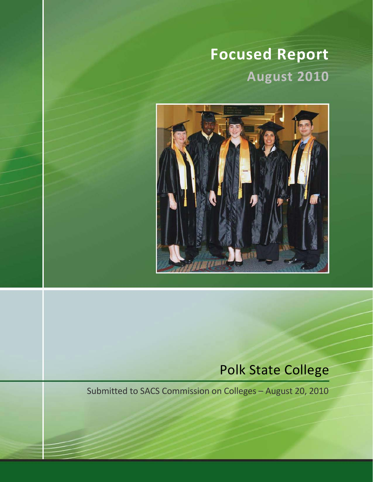# **Focused Report August 2010**



# Polk State College

Submitted to SACS Commission on Colleges – August 20, 2010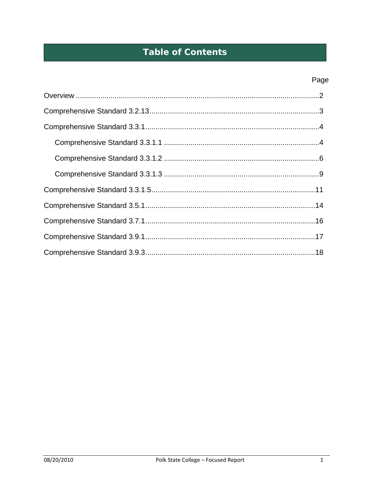# **Table of Contents**

# Page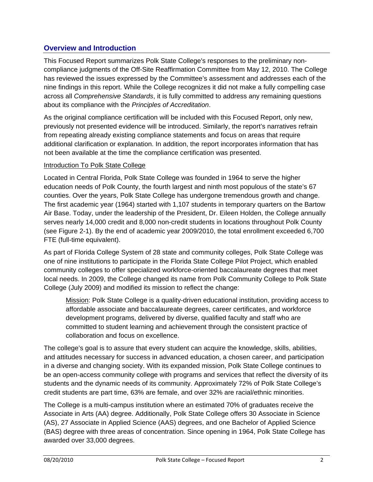# **Overview and Introduction**

This Focused Report summarizes Polk State College's responses to the preliminary noncompliance judgments of the Off-Site Reaffirmation Committee from May 12, 2010. The College has reviewed the issues expressed by the Committee's assessment and addresses each of the nine findings in this report. While the College recognizes it did not make a fully compelling case across all *Comprehensive Standards*, it is fully committed to address any remaining questions about its compliance with the *Principles of Accreditation*.

As the original compliance certification will be included with this Focused Report, only new, previously not presented evidence will be introduced. Similarly, the report's narratives refrain from repeating already existing compliance statements and focus on areas that require additional clarification or explanation. In addition, the report incorporates information that has not been available at the time the compliance certification was presented.

# Introduction To Polk State College

Located in Central Florida, Polk State College was founded in 1964 to serve the higher education needs of Polk County, the fourth largest and ninth most populous of the state's 67 counties. Over the years, Polk State College has undergone tremendous growth and change. The first academic year (1964) started with 1,107 students in temporary quarters on the Bartow Air Base. Today, under the leadership of the President, Dr. Eileen Holden, the College annually serves nearly 14,000 credit and 8,000 non-credit students in locations throughout Polk County (see Figure 2-1). By the end of academic year 2009/2010, the total enrollment exceeded 6,700 FTE (full-time equivalent).

As part of Florida College System of 28 state and community colleges, Polk State College was one of nine institutions to participate in the Florida State College Pilot Project, which enabled community colleges to offer specialized workforce-oriented baccalaureate degrees that meet local needs. In 2009, the College changed its name from Polk Community College to Polk State College (July 2009) and modified its mission to reflect the change:

Mission: Polk State College is a quality-driven educational institution, providing access to affordable associate and baccalaureate degrees, career certificates, and workforce development programs, delivered by diverse, qualified faculty and staff who are committed to student learning and achievement through the consistent practice of collaboration and focus on excellence.

The college's goal is to assure that every student can acquire the knowledge, skills, abilities, and attitudes necessary for success in advanced education, a chosen career, and participation in a diverse and changing society. With its expanded mission, Polk State College continues to be an open-access community college with programs and services that reflect the diversity of its students and the dynamic needs of its community. Approximately 72% of Polk State College's credit students are part time, 63% are female, and over 32% are racial/ethnic minorities.

The College is a multi-campus institution where an estimated 70% of graduates receive the Associate in Arts (AA) degree. Additionally, Polk State College offers 30 Associate in Science (AS), 27 Associate in Applied Science (AAS) degrees, and one Bachelor of Applied Science (BAS) degree with three areas of concentration. Since opening in 1964, Polk State College has awarded over 33,000 degrees.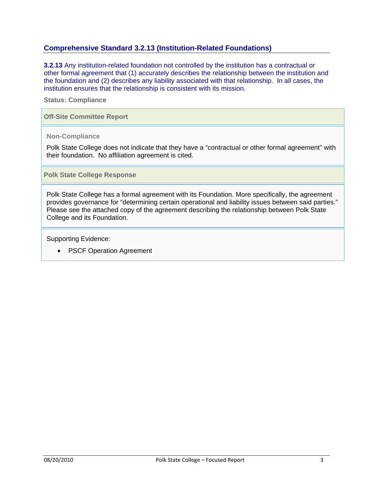# **Comprehensive Standard 3.2.13 (Institution-Related Foundations)**

**3.2.13** Any institution-related foundation not controlled by the institution has a contractual or other formal agreement that (1) accurately describes the relationship between the institution and the foundation and (2) describes any liability associated with that relationship. In all cases, the institution ensures that the relationship is consistent with its mission.

#### **Status: Compliance**

#### **Off-Site Committee Report**

#### **Non-Compliance**

Polk State College does not indicate that they have a "contractual or other formal agreement" with their foundation. No affiliation agreement is cited.

**Polk State College Response** 

Polk State College has a formal agreement with its Foundation. More specifically, the agreement provides governance for "determining certain operational and liability issues between said parties." Please see the attached copy of the agreement describing the relationship between Polk State College and its Foundation.

Supporting Evidence:

• PSCF Operation Agreement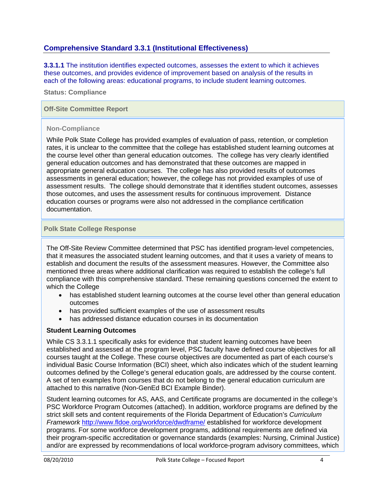# **Comprehensive Standard 3.3.1 (Institutional Effectiveness)**

**3.3.1.1** The institution identifies expected outcomes, assesses the extent to which it achieves these outcomes, and provides evidence of improvement based on analysis of the results in each of the following areas: educational programs, to include student learning outcomes.

**Status: Compliance** 

#### **Off-Site Committee Report**

#### **Non-Compliance**

While Polk State College has provided examples of evaluation of pass, retention, or completion rates, it is unclear to the committee that the college has established student learning outcomes at the course level other than general education outcomes. The college has very clearly identified general education outcomes and has demonstrated that these outcomes are mapped in appropriate general education courses. The college has also provided results of outcomes assessments in general education; however, the college has not provided examples of use of assessment results. The college should demonstrate that it identifies student outcomes, assesses those outcomes, and uses the assessment results for continuous improvement. Distance education courses or programs were also not addressed in the compliance certification documentation.

#### **Polk State College Response**

The Off-Site Review Committee determined that PSC has identified program-level competencies, that it measures the associated student learning outcomes, and that it uses a variety of means to establish and document the results of the assessment measures. However, the Committee also mentioned three areas where additional clarification was required to establish the college's full compliance with this comprehensive standard. These remaining questions concerned the extent to which the College

- has established student learning outcomes at the course level other than general education outcomes
- has provided sufficient examples of the use of assessment results
- has addressed distance education courses in its documentation

# **Student Learning Outcomes**

While CS 3.3.1.1 specifically asks for evidence that student learning outcomes have been established and assessed at the program level, PSC faculty have defined course objectives for all courses taught at the College. These course objectives are documented as part of each course's individual Basic Course Information (BCI) sheet, which also indicates which of the student learning outcomes defined by the College's general education goals, are addressed by the course content. A set of ten examples from courses that do not belong to the general education curriculum are attached to this narrative (Non-GenEd BCI Example Binder).

Student learning outcomes for AS, AAS, and Certificate programs are documented in the college's PSC Workforce Program Outcomes (attached). In addition, workforce programs are defined by the strict skill sets and content requirements of the Florida Department of Education's *Curriculum Framework* http://www.fldoe.org/workforce/dwdframe/ established for workforce development programs. For some workforce development programs, additional requirements are defined via their program-specific accreditation or governance standards (examples: Nursing, Criminal Justice) and/or are expressed by recommendations of local workforce-program advisory committees, which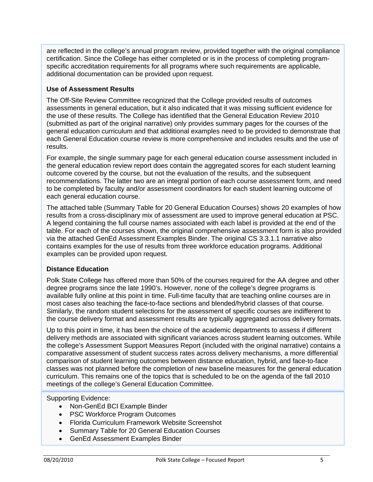are reflected in the college's annual program review, provided together with the original compliance certification. Since the College has either completed or is in the process of completing programspecific accreditation requirements for all programs where such requirements are applicable, additional documentation can be provided upon request.

# **Use of Assessment Results**

The Off-Site Review Committee recognized that the College provided results of outcomes assessments in general education, but it also indicated that it was missing sufficient evidence for the use of these results. The College has identified that the General Education Review 2010 (submitted as part of the original narrative) only provides summary pages for the courses of the general education curriculum and that additional examples need to be provided to demonstrate that each General Education course review is more comprehensive and includes results and the use of results.

For example, the single summary page for each general education course assessment included in the general education review report does contain the aggregated scores for each student learning outcome covered by the course, but not the evaluation of the results, and the subsequent recommendations. The latter two are an integral portion of each course assessment form, and need to be completed by faculty and/or assessment coordinators for each student learning outcome of each general education course.

The attached table (Summary Table for 20 General Education Courses) shows 20 examples of how results from a cross-disciplinary mix of assessment are used to improve general education at PSC. A legend containing the full course names associated with each label is provided at the end of the table. For each of the courses shown, the original comprehensive assessment form is also provided via the attached GenEd Assessment Examples Binder. The original CS 3.3.1.1 narrative also contains examples for the use of results from three workforce education programs. Additional examples can be provided upon request.

# **Distance Education**

Polk State College has offered more than 50% of the courses required for the AA degree and other degree programs since the late 1990's. However, none of the college's degree programs is available fully online at this point in time. Full-time faculty that are teaching online courses are in most cases also teaching the face-to-face sections and blended/hybrid classes of that course. Similarly, the random student selections for the assessment of specific courses are indifferent to the course delivery format and assessment results are typically aggregated across delivery formats.

Up to this point in time, it has been the choice of the academic departments to assess if different delivery methods are associated with significant variances across student learning outcomes. While the college's Assessment Support Measures Report (included with the original narrative) contains a comparative assessment of student success rates across delivery mechanisms, a more differential comparison of student learning outcomes between distance education, hybrid, and face-to-face classes was not planned before the completion of new baseline measures for the general education curriculum. This remains one of the topics that is scheduled to be on the agenda of the fall 2010 meetings of the college's General Education Committee.

- Non-GenEd BCI Example Binder
- PSC Workforce Program Outcomes
- Florida Curriculum Framework Website Screenshot
- Summary Table for 20 General Education Courses
- GenEd Assessment Examples Binder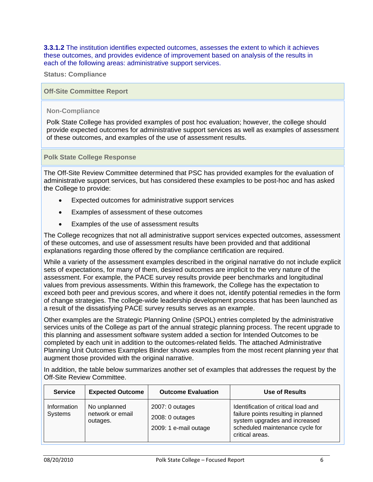**3.3.1.2** The institution identifies expected outcomes, assesses the extent to which it achieves these outcomes, and provides evidence of improvement based on analysis of the results in each of the following areas: administrative support services.

**Status: Compliance** 

**Off-Site Committee Report** 

#### **Non-Compliance**

Polk State College has provided examples of post hoc evaluation; however, the college should provide expected outcomes for administrative support services as well as examples of assessment of these outcomes, and examples of the use of assessment results.

**Polk State College Response** 

The Off-Site Review Committee determined that PSC has provided examples for the evaluation of administrative support services, but has considered these examples to be post-hoc and has asked the College to provide:

- Expected outcomes for administrative support services
- Examples of assessment of these outcomes
- Examples of the use of assessment results

The College recognizes that not all administrative support services expected outcomes, assessment of these outcomes, and use of assessment results have been provided and that additional explanations regarding those offered by the compliance certification are required.

While a variety of the assessment examples described in the original narrative do not include explicit sets of expectations, for many of them, desired outcomes are implicit to the very nature of the assessment. For example, the PACE survey results provide peer benchmarks and longitudinal values from previous assessments. Within this framework, the College has the expectation to exceed both peer and previous scores, and where it does not, identify potential remedies in the form of change strategies. The college-wide leadership development process that has been launched as a result of the dissatisfying PACE survey results serves as an example.

Other examples are the Strategic Planning Online (SPOL) entries completed by the administrative services units of the College as part of the annual strategic planning process. The recent upgrade to this planning and assessment software system added a section for Intended Outcomes to be completed by each unit in addition to the outcomes-related fields. The attached Administrative Planning Unit Outcomes Examples Binder shows examples from the most recent planning year that augment those provided with the original narrative.

In addition, the table below summarizes another set of examples that addresses the request by the Off-Site Review Committee.

| <b>Service</b>         | <b>Expected Outcome</b>                      | <b>Outcome Evaluation</b>                                     | <b>Use of Results</b>                                                                                                                                             |
|------------------------|----------------------------------------------|---------------------------------------------------------------|-------------------------------------------------------------------------------------------------------------------------------------------------------------------|
| Information<br>Systems | No unplanned<br>network or email<br>outages. | $2007:0$ outages<br>$2008:0$ outages<br>2009: 1 e-mail outage | Identification of critical load and<br>failure points resulting in planned<br>system upgrades and increased<br>scheduled maintenance cycle for<br>critical areas. |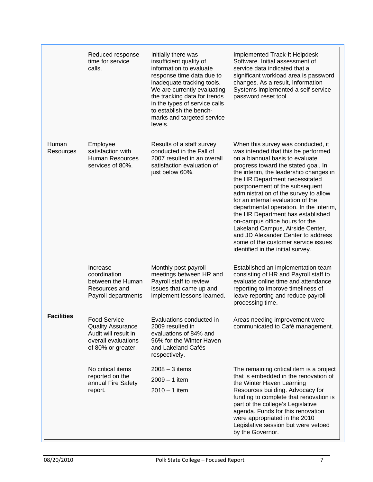|                    | Reduced response<br>time for service<br>calls.                                                                       | Initially there was<br>insufficient quality of<br>information to evaluate<br>response time data due to<br>inadequate tracking tools.<br>We are currently evaluating<br>the tracking data for trends<br>in the types of service calls<br>to establish the bench-<br>marks and targeted service<br>levels. | Implemented Track-It Helpdesk<br>Software. Initial assessment of<br>service data indicated that a<br>significant workload area is password<br>changes. As a result, Information<br>Systems implemented a self-service<br>password reset tool.                                                                                                                                                                                                                                                                                                                                                                           |
|--------------------|----------------------------------------------------------------------------------------------------------------------|----------------------------------------------------------------------------------------------------------------------------------------------------------------------------------------------------------------------------------------------------------------------------------------------------------|-------------------------------------------------------------------------------------------------------------------------------------------------------------------------------------------------------------------------------------------------------------------------------------------------------------------------------------------------------------------------------------------------------------------------------------------------------------------------------------------------------------------------------------------------------------------------------------------------------------------------|
| Human<br>Resources | Employee<br>satisfaction with<br><b>Human Resources</b><br>services of 80%.                                          | Results of a staff survey<br>conducted in the Fall of<br>2007 resulted in an overall<br>satisfaction evaluation of<br>just below 60%.                                                                                                                                                                    | When this survey was conducted, it<br>was intended that this be performed<br>on a biannual basis to evaluate<br>progress toward the stated goal. In<br>the interim, the leadership changes in<br>the HR Department necessitated<br>postponement of the subsequent<br>administration of the survey to allow<br>for an internal evaluation of the<br>departmental operation. In the interim,<br>the HR Department has established<br>on-campus office hours for the<br>Lakeland Campus, Airside Center,<br>and JD Alexander Center to address<br>some of the customer service issues<br>identified in the initial survey. |
|                    | Increase<br>coordination<br>between the Human<br>Resources and<br>Payroll departments                                | Monthly post-payroll<br>meetings between HR and<br>Payroll staff to review<br>issues that came up and<br>implement lessons learned.                                                                                                                                                                      | Established an implementation team<br>consisting of HR and Payroll staff to<br>evaluate online time and attendance<br>reporting to improve timeliness of<br>leave reporting and reduce payroll<br>processing time.                                                                                                                                                                                                                                                                                                                                                                                                      |
| <b>Facilities</b>  | <b>Food Service</b><br><b>Quality Assurance</b><br>Audit will result in<br>overall evaluations<br>of 80% or greater. | Evaluations conducted in<br>2009 resulted in<br>evaluations of 84% and<br>96% for the Winter Haven<br>and Lakeland Cafés<br>respectively.                                                                                                                                                                | Areas needing improvement were<br>communicated to Café management.                                                                                                                                                                                                                                                                                                                                                                                                                                                                                                                                                      |
|                    | No critical items<br>reported on the<br>annual Fire Safety<br>report.                                                | $2008 - 3$ items<br>$2009 - 1$ item<br>$2010 - 1$ item                                                                                                                                                                                                                                                   | The remaining critical item is a project<br>that is embedded in the renovation of<br>the Winter Haven Learning<br>Resources building. Advocacy for<br>funding to complete that renovation is<br>part of the college's Legislative<br>agenda. Funds for this renovation<br>were appropriated in the 2010<br>Legislative session but were vetoed<br>by the Governor.                                                                                                                                                                                                                                                      |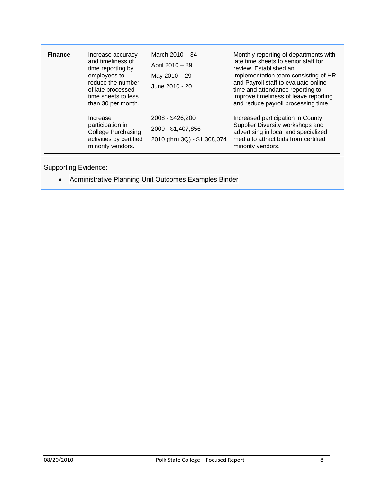| <b>Finance</b> | Increase accuracy<br>and timeliness of<br>time reporting by<br>employees to<br>reduce the number<br>of late processed<br>time sheets to less<br>than 30 per month. | March $2010 - 34$<br>April 2010 - 89<br>May 2010 - 29<br>June 2010 - 20 | Monthly reporting of departments with<br>late time sheets to senior staff for<br>review. Established an<br>implementation team consisting of HR<br>and Payroll staff to evaluate online<br>time and attendance reporting to<br>improve timeliness of leave reporting<br>and reduce payroll processing time. |
|----------------|--------------------------------------------------------------------------------------------------------------------------------------------------------------------|-------------------------------------------------------------------------|-------------------------------------------------------------------------------------------------------------------------------------------------------------------------------------------------------------------------------------------------------------------------------------------------------------|
|                | Increase<br>participation in<br><b>College Purchasing</b><br>activities by certified<br>minority vendors.                                                          | 2008 - \$426,200<br>2009 - \$1,407,856<br>2010 (thru 3Q) - \$1,308,074  | Increased participation in County<br>Supplier Diversity workshops and<br>advertising in local and specialized<br>media to attract bids from certified<br>minority vendors.                                                                                                                                  |

Supporting Evidence:

Administrative Planning Unit Outcomes Examples Binder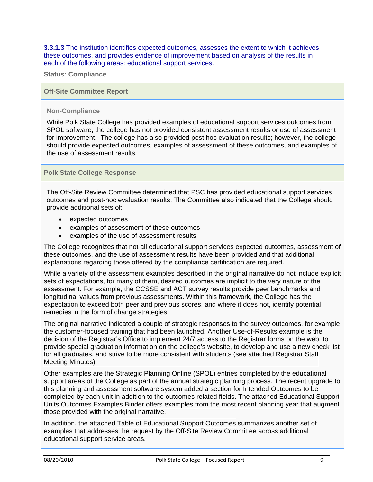**3.3.1.3** The institution identifies expected outcomes, assesses the extent to which it achieves these outcomes, and provides evidence of improvement based on analysis of the results in each of the following areas: educational support services.

**Status: Compliance** 

#### **Off-Site Committee Report**

#### **Non-Compliance**

While Polk State College has provided examples of educational support services outcomes from SPOL software, the college has not provided consistent assessment results or use of assessment for improvement. The college has also provided post hoc evaluation results; however, the college should provide expected outcomes, examples of assessment of these outcomes, and examples of the use of assessment results.

#### **Polk State College Response**

The Off-Site Review Committee determined that PSC has provided educational support services outcomes and post-hoc evaluation results. The Committee also indicated that the College should provide additional sets of:

- expected outcomes
- examples of assessment of these outcomes
- examples of the use of assessment results

The College recognizes that not all educational support services expected outcomes, assessment of these outcomes, and the use of assessment results have been provided and that additional explanations regarding those offered by the compliance certification are required.

While a variety of the assessment examples described in the original narrative do not include explicit sets of expectations, for many of them, desired outcomes are implicit to the very nature of the assessment. For example, the CCSSE and ACT survey results provide peer benchmarks and longitudinal values from previous assessments. Within this framework, the College has the expectation to exceed both peer and previous scores, and where it does not, identify potential remedies in the form of change strategies.

The original narrative indicated a couple of strategic responses to the survey outcomes, for example the customer-focused training that had been launched. Another Use-of-Results example is the decision of the Registrar's Office to implement 24/7 access to the Registrar forms on the web, to provide special graduation information on the college's website, to develop and use a new check list for all graduates, and strive to be more consistent with students (see attached Registrar Staff Meeting Minutes).

Other examples are the Strategic Planning Online (SPOL) entries completed by the educational support areas of the College as part of the annual strategic planning process. The recent upgrade to this planning and assessment software system added a section for Intended Outcomes to be completed by each unit in addition to the outcomes related fields. The attached Educational Support Units Outcomes Examples Binder offers examples from the most recent planning year that augment those provided with the original narrative.

In addition, the attached Table of Educational Support Outcomes summarizes another set of examples that addresses the request by the Off-Site Review Committee across additional educational support service areas.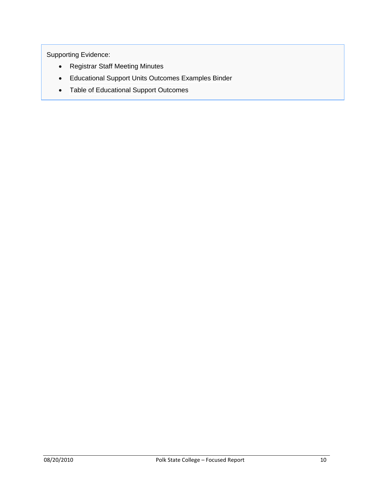- Registrar Staff Meeting Minutes
- Educational Support Units Outcomes Examples Binder
- Table of Educational Support Outcomes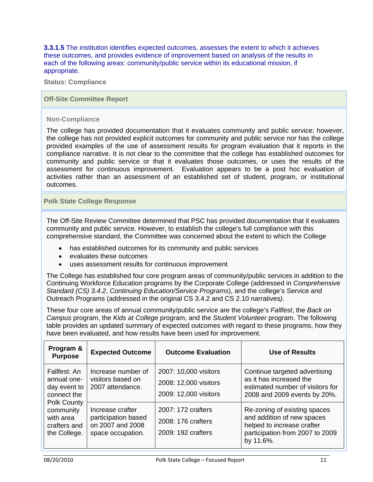**3.3.1.5** The institution identifies expected outcomes, assesses the extent to which it achieves these outcomes, and provides evidence of improvement based on analysis of the results in each of the following areas: community/public service within its educational mission, if appropriate.

**Status: Compliance** 

#### **Off-Site Committee Report**

#### **Non-Compliance**

The college has provided documentation that it evaluates community and public service; however, the college has not provided explicit outcomes for community and public service nor has the college provided examples of the use of assessment results for program evaluation that it reports in the compliance narrative. It is not clear to the committee that the college has established outcomes for community and public service or that it evaluates those outcomes, or uses the results of the assessment for continuous improvement. Evaluation appears to be a post hoc evaluation of activities rather than an assessment of an established set of student, program, or institutional outcomes.

#### **Polk State College Response**

The Off-Site Review Committee determined that PSC has provided documentation that it evaluates community and public service. However, to establish the college's full compliance with this comprehensive standard, the Committee was concerned about the extent to which the College

- has established outcomes for its community and public services
- evaluates these outcomes
- uses assessment results for continuous improvement

The College has established four core program areas of community/public services in addition to the Continuing Workforce Education programs by the Corporate College (addressed in *Comprehensive Standard (CS) 3.4.2*, *Continuing Education/Service Programs*), and the college's Service and Outreach Programs (addressed in the original CS 3.4.2 and CS 2.10 narratives*)*.

These four core areas of annual community/public service are the college's *Fallfest*, the *Back on Campus* program, the *Kids at College* program, and the *Student Volunteer* program. The following table provides an updated summary of expected outcomes with regard to these programs, how they have been evaluated, and how results have been used for improvement.

| Program &<br><b>Purpose</b>                                                                                                                | <b>Expected Outcome</b>                                                          | <b>Outcome Evaluation</b>                                               | <b>Use of Results</b>                                                                                                                    |
|--------------------------------------------------------------------------------------------------------------------------------------------|----------------------------------------------------------------------------------|-------------------------------------------------------------------------|------------------------------------------------------------------------------------------------------------------------------------------|
| Fallfest: An<br>annual one-<br>day event to<br>connect the<br><b>Polk County</b><br>community<br>with area<br>crafters and<br>the College. | Increase number of<br>visitors based on<br>2007 attendance.                      | 2007: 10,000 visitors<br>2008: 12,000 visitors<br>2009: 12,000 visitors | Continue targeted advertising<br>as it has increased the<br>estimated number of visitors for<br>2008 and 2009 events by 20%.             |
|                                                                                                                                            | Increase crafter<br>participation based<br>on 2007 and 2008<br>space occupation. | 2007: 172 crafters<br>2008: 176 crafters<br>2009: 192 crafters          | Re-zoning of existing spaces<br>and addition of new spaces<br>helped to increase crafter<br>participation from 2007 to 2009<br>by 11.6%. |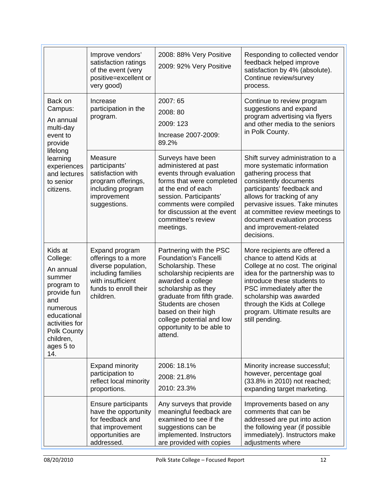| Improve vendors'<br>satisfaction ratings<br>of the event (very<br>positive=excellent or<br>very good)                                                                                                                                                                                                                        |                                                                                                                         | 2008: 88% Very Positive<br>2009: 92% Very Positive                                                                                                                                                                                                                                                       | Responding to collected vendor<br>feedback helped improve<br>satisfaction by 4% (absolute).<br>Continue review/survey<br>process.                                                                                                                                                                                            |  |
|------------------------------------------------------------------------------------------------------------------------------------------------------------------------------------------------------------------------------------------------------------------------------------------------------------------------------|-------------------------------------------------------------------------------------------------------------------------|----------------------------------------------------------------------------------------------------------------------------------------------------------------------------------------------------------------------------------------------------------------------------------------------------------|------------------------------------------------------------------------------------------------------------------------------------------------------------------------------------------------------------------------------------------------------------------------------------------------------------------------------|--|
| Back on<br>Campus:<br>An annual<br>multi-day<br>event to<br>provide<br>lifelong<br>learning<br>experiences<br>and lectures<br>to senior<br>citizens.                                                                                                                                                                         | Increase<br>participation in the<br>program.                                                                            | 2007: 65<br>2008: 80<br>2009: 123<br>Increase 2007-2009:<br>89.2%                                                                                                                                                                                                                                        | Continue to review program<br>suggestions and expand<br>program advertising via flyers<br>and other media to the seniors<br>in Polk County.                                                                                                                                                                                  |  |
|                                                                                                                                                                                                                                                                                                                              | Measure<br>participants'<br>satisfaction with<br>program offerings,<br>including program<br>improvement<br>suggestions. | Surveys have been<br>administered at past<br>events through evaluation<br>forms that were completed<br>at the end of each<br>session. Participants'<br>comments were compiled<br>for discussion at the event<br>committee's review<br>meetings.                                                          | Shift survey administration to a<br>more systematic information<br>gathering process that<br>consistently documents<br>participants' feedback and<br>allows for tracking of any<br>pervasive issues. Take minutes<br>at committee review meetings to<br>document evaluation process<br>and improvement-related<br>decisions. |  |
| Kids at<br>Expand program<br>offerings to a more<br>College:<br>diverse population,<br>An annual<br>including families<br>summer<br>with insufficient<br>program to<br>funds to enroll their<br>provide fun<br>children.<br>and<br>numerous<br>educational<br>activities for<br>Polk County<br>children,<br>ages 5 to<br>14. |                                                                                                                         | Partnering with the PSC<br><b>Foundation's Fancelli</b><br>Scholarship. These<br>scholarship recipients are<br>awarded a college<br>scholarship as they<br>graduate from fifth grade.<br>Students are chosen<br>based on their high<br>college potential and low<br>opportunity to be able to<br>attend. | More recipients are offered a<br>chance to attend Kids at<br>College at no cost. The original<br>idea for the partnership was to<br>introduce these students to<br>PSC immediately after the<br>scholarship was awarded<br>through the Kids at College<br>program. Ultimate results are<br>still pending.                    |  |
|                                                                                                                                                                                                                                                                                                                              | <b>Expand minority</b><br>participation to<br>reflect local minority<br>proportions.                                    | 2006: 18.1%<br>2008: 21.8%<br>2010: 23.3%                                                                                                                                                                                                                                                                | Minority increase successful;<br>however, percentage goal<br>(33.8% in 2010) not reached;<br>expanding target marketing.                                                                                                                                                                                                     |  |
|                                                                                                                                                                                                                                                                                                                              | Ensure participants<br>have the opportunity<br>for feedback and<br>that improvement<br>opportunities are<br>addressed.  | Any surveys that provide<br>meaningful feedback are<br>examined to see if the<br>suggestions can be<br>implemented. Instructors<br>are provided with copies                                                                                                                                              | Improvements based on any<br>comments that can be<br>addressed are put into action<br>the following year (if possible<br>immediately). Instructors make<br>adjustments where                                                                                                                                                 |  |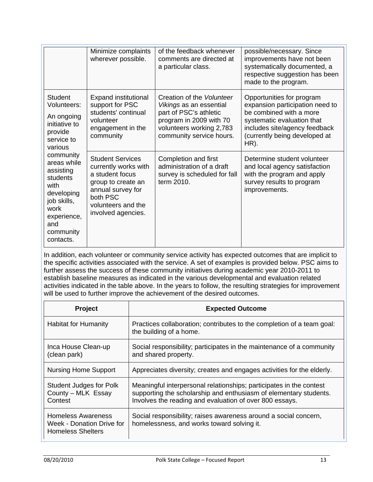|                                                                                                                                                | Minimize complaints<br>wherever possible.                                                                                                                             | of the feedback whenever<br>comments are directed at<br>a particular class.                                                                                       | possible/necessary. Since<br>improvements have not been<br>systematically documented, a<br>respective suggestion has been<br>made to the program.                                               |
|------------------------------------------------------------------------------------------------------------------------------------------------|-----------------------------------------------------------------------------------------------------------------------------------------------------------------------|-------------------------------------------------------------------------------------------------------------------------------------------------------------------|-------------------------------------------------------------------------------------------------------------------------------------------------------------------------------------------------|
| <b>Student</b><br>Volunteers:<br>An ongoing<br>initiative to<br>provide<br>service to<br>various                                               | <b>Expand institutional</b><br>support for PSC<br>students' continual<br>volunteer<br>engagement in the<br>community                                                  | Creation of the Volunteer<br>Vikings as an essential<br>part of PSC's athletic<br>program in 2009 with 70<br>volunteers working 2,783<br>community service hours. | Opportunities for program<br>expansion participation need to<br>be combined with a more<br>systematic evaluation that<br>includes site/agency feedback<br>(currently being developed at<br>HR). |
| community<br>areas while<br>assisting<br>students<br>with<br>developing<br>job skills,<br>work<br>experience,<br>and<br>community<br>contacts. | <b>Student Services</b><br>currently works with<br>a student focus<br>group to create an<br>annual survey for<br>both PSC<br>volunteers and the<br>involved agencies. | Completion and first<br>administration of a draft<br>survey is scheduled for fall<br>term 2010.                                                                   | Determine student volunteer<br>and local agency satisfaction<br>with the program and apply<br>survey results to program<br>improvements.                                                        |

In addition, each volunteer or community service activity has expected outcomes that are implicit to the specific activities associated with the service. A set of examples is provided below. PSC aims to further assess the success of these community initiatives during academic year 2010-2011 to establish baseline measures as indicated in the various developmental and evaluation related activities indicated in the table above. In the years to follow, the resulting strategies for improvement will be used to further improve the achievement of the desired outcomes.

| <b>Project</b>                                                              | <b>Expected Outcome</b>                                                                                                                                                                             |
|-----------------------------------------------------------------------------|-----------------------------------------------------------------------------------------------------------------------------------------------------------------------------------------------------|
| <b>Habitat for Humanity</b>                                                 | Practices collaboration; contributes to the completion of a team goal:<br>the building of a home.                                                                                                   |
| Inca House Clean-up<br>(clean park)                                         | Social responsibility; participates in the maintenance of a community<br>and shared property.                                                                                                       |
| <b>Nursing Home Support</b>                                                 | Appreciates diversity; creates and engages activities for the elderly.                                                                                                                              |
| <b>Student Judges for Polk</b><br>County - MLK Essay<br>Contest             | Meaningful interpersonal relationships; participates in the contest<br>supporting the scholarship and enthusiasm of elementary students.<br>Involves the reading and evaluation of over 800 essays. |
| Homeless Awareness<br>Week - Donation Drive for<br><b>Homeless Shelters</b> | Social responsibility; raises awareness around a social concern,<br>homelessness, and works toward solving it.                                                                                      |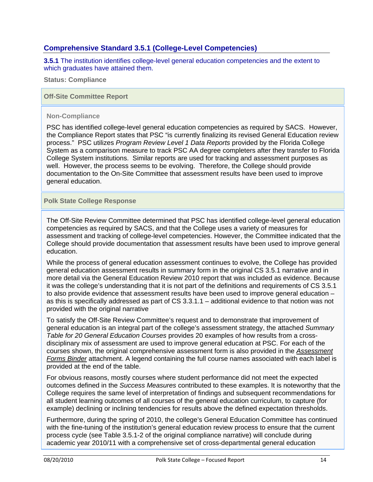# **Comprehensive Standard 3.5.1 (College-Level Competencies)**

**3.5.1** The institution identifies college-level general education competencies and the extent to which graduates have attained them.

**Status: Compliance**

**Off-Site Committee Report** 

#### **Non-Compliance**

PSC has identified college-level general education competencies as required by SACS. However, the Compliance Report states that PSC "is currently finalizing its revised General Education review process." PSC utilizes *Program Review Level 1 Data Reports* provided by the Florida College System as a comparison measure to track PSC AA degree completers after they transfer to Florida College System institutions. Similar reports are used for tracking and assessment purposes as well. However, the process seems to be evolving. Therefore, the College should provide documentation to the On-Site Committee that assessment results have been used to improve general education.

#### **Polk State College Response**

The Off-Site Review Committee determined that PSC has identified college-level general education competencies as required by SACS, and that the College uses a variety of measures for assessment and tracking of college-level competencies. However, the Committee indicated that the College should provide documentation that assessment results have been used to improve general education.

While the process of general education assessment continues to evolve, the College has provided general education assessment results in summary form in the original CS 3.5.1 narrative and in more detail via the General Education Review 2010 report that was included as evidence. Because it was the college's understanding that it is not part of the definitions and requirements of CS 3.5.1 to also provide evidence that assessment results have been used to improve general education – as this is specifically addressed as part of CS 3.3.1.1 – additional evidence to that notion was not provided with the original narrative

To satisfy the Off-Site Review Committee's request and to demonstrate that improvement of general education is an integral part of the college's assessment strategy, the attached *Summary Table for 20 General Education Courses* provides 20 examples of how results from a crossdisciplinary mix of assessment are used to improve general education at PSC. For each of the courses shown, the original comprehensive assessment form is also provided in the *Assessment Forms Binder* attachment. A legend containing the full course names associated with each label is provided at the end of the table.

For obvious reasons, mostly courses where student performance did not meet the expected outcomes defined in the *Success Measures* contributed to these examples. It is noteworthy that the College requires the same level of interpretation of findings and subsequent recommendations for all student learning outcomes of all courses of the general education curriculum, to capture (for example) declining or inclining tendencies for results above the defined expectation thresholds.

Furthermore, during the spring of 2010, the college's General Education Committee has continued with the fine-tuning of the institution's general education review process to ensure that the current process cycle (see Table 3.5.1-2 of the original compliance narrative) will conclude during academic year 2010/11 with a comprehensive set of cross-departmental general education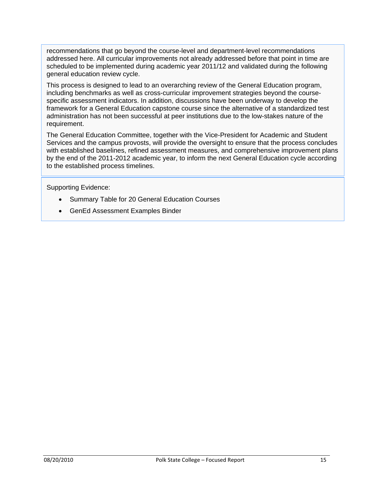recommendations that go beyond the course-level and department-level recommendations addressed here. All curricular improvements not already addressed before that point in time are scheduled to be implemented during academic year 2011/12 and validated during the following general education review cycle.

This process is designed to lead to an overarching review of the General Education program, including benchmarks as well as cross-curricular improvement strategies beyond the coursespecific assessment indicators. In addition, discussions have been underway to develop the framework for a General Education capstone course since the alternative of a standardized test administration has not been successful at peer institutions due to the low-stakes nature of the requirement.

The General Education Committee, together with the Vice-President for Academic and Student Services and the campus provosts, will provide the oversight to ensure that the process concludes with established baselines, refined assessment measures, and comprehensive improvement plans by the end of the 2011-2012 academic year, to inform the next General Education cycle according to the established process timelines.

- Summary Table for 20 General Education Courses
- GenEd Assessment Examples Binder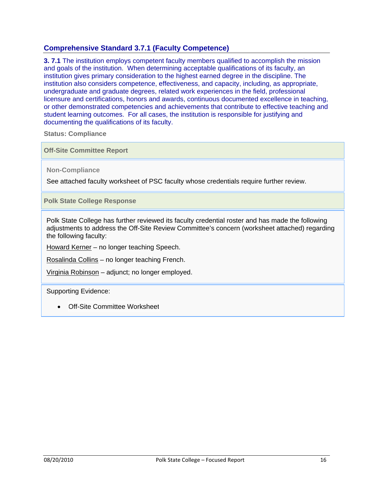# **Comprehensive Standard 3.7.1 (Faculty Competence)**

**3. 7.1** The institution employs competent faculty members qualified to accomplish the mission and goals of the institution. When determining acceptable qualifications of its faculty, an institution gives primary consideration to the highest earned degree in the discipline. The institution also considers competence, effectiveness, and capacity, including, as appropriate, undergraduate and graduate degrees, related work experiences in the field, professional licensure and certifications, honors and awards, continuous documented excellence in teaching, or other demonstrated competencies and achievements that contribute to effective teaching and student learning outcomes. For all cases, the institution is responsible for justifying and documenting the qualifications of its faculty.

**Status: Compliance** 

**Off-Site Committee Report** 

**Non-Compliance** 

See attached faculty worksheet of PSC faculty whose credentials require further review.

**Polk State College Response** 

Polk State College has further reviewed its faculty credential roster and has made the following adjustments to address the Off-Site Review Committee's concern (worksheet attached) regarding the following faculty:

Howard Kerner – no longer teaching Speech.

Rosalinda Collins – no longer teaching French.

Virginia Robinson – adjunct; no longer employed.

Supporting Evidence:

Off-Site Committee Worksheet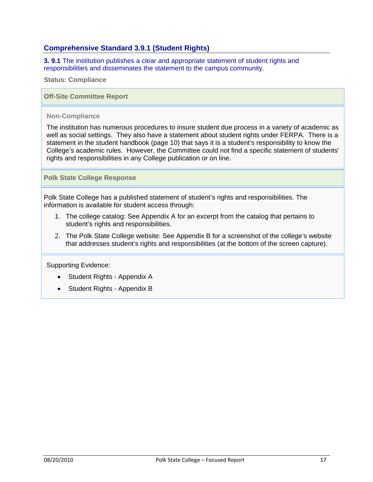# **Comprehensive Standard 3.9.1 (Student Rights)**

**3. 9.1** The institution publishes a clear and appropriate statement of student rights and responsibilities and disseminates the statement to the campus community.

**Status: Compliance** 

**Off-Site Committee Report** 

#### **Non-Compliance**

The institution has numerous procedures to insure student due process in a variety of academic as well as social settings. They also have a statement about student rights under FERPA. There is a statement in the student handbook (page 10) that says it is a student's responsibility to know the College's academic rules. However, the Committee could not find a specific statement of students' rights and responsibilities in any College publication or on line.

**Polk State College Response** 

Polk State College has a published statement of student's rights and responsibilities. The information is available for student access through:

- 1. The college catalog: See Appendix A for an excerpt from the catalog that pertains to student's rights and responsibilities.
- 2. The Polk State College website: See Appendix B for a screenshot of the college's website that addresses student's rights and responsibilities (at the bottom of the screen capture).

- Student Rights Appendix A
- Student Rights Appendix B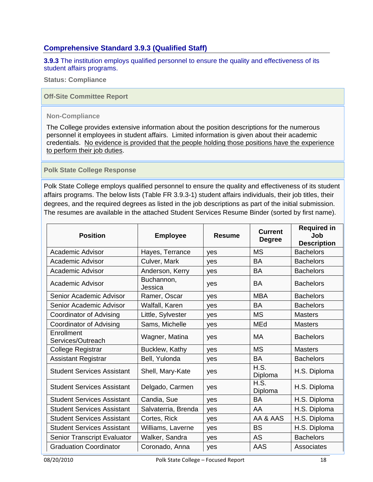# **Comprehensive Standard 3.9.3 (Qualified Staff)**

**3.9.3** The institution employs qualified personnel to ensure the quality and effectiveness of its student affairs programs.

**Status: Compliance** 

**Off-Site Committee Report** 

#### **Non-Compliance**

The College provides extensive information about the position descriptions for the numerous personnel it employees in student affairs. Limited information is given about their academic credentials. No evidence is provided that the people holding those positions have the experience to perform their job duties.

#### **Polk State College Response**

Polk State College employs qualified personnel to ensure the quality and effectiveness of its student affairs programs. The below lists (Table FR 3.9.3-1) student affairs individuals, their job titles, their degrees, and the required degrees as listed in the job descriptions as part of the initial submission. The resumes are available in the attached Student Services Resume Binder (sorted by first name).

| <b>Position</b>                    | <b>Employee</b>       | Resume | <b>Current</b><br><b>Degree</b> | <b>Required in</b><br>Job<br><b>Description</b> |
|------------------------------------|-----------------------|--------|---------------------------------|-------------------------------------------------|
| <b>Academic Advisor</b>            | Hayes, Terrance       | yes    | <b>MS</b>                       | <b>Bachelors</b>                                |
| Academic Advisor                   | Culver, Mark          | yes    | <b>BA</b>                       | <b>Bachelors</b>                                |
| Academic Advisor                   | Anderson, Kerry       | yes    | <b>BA</b>                       | <b>Bachelors</b>                                |
| Academic Advisor                   | Buchannon,<br>Jessica | yes    | <b>BA</b>                       | <b>Bachelors</b>                                |
| Senior Academic Advisor            | Ramer, Oscar          | yes    | <b>MBA</b>                      | <b>Bachelors</b>                                |
| Senior Academic Advisor            | Walfall, Karen        | yes    | <b>BA</b>                       | <b>Bachelors</b>                                |
| Coordinator of Advising            | Little, Sylvester     | yes    | <b>MS</b>                       | <b>Masters</b>                                  |
| Coordinator of Advising            | Sams, Michelle        | yes    | MEd                             | <b>Masters</b>                                  |
| Enrollment<br>Services/Outreach    | Wagner, Matina        | yes    | <b>MA</b>                       | <b>Bachelors</b>                                |
| <b>College Registrar</b>           | Bucklew, Kathy        | yes    | <b>MS</b>                       | <b>Masters</b>                                  |
| <b>Assistant Registrar</b>         | Bell, Yulonda         | yes    | <b>BA</b>                       | <b>Bachelors</b>                                |
| <b>Student Services Assistant</b>  | Shell, Mary-Kate      | yes    | H.S.<br>Diploma                 | H.S. Diploma                                    |
| <b>Student Services Assistant</b>  | Delgado, Carmen       | yes    | H.S.<br>Diploma                 | H.S. Diploma                                    |
| <b>Student Services Assistant</b>  | Candia, Sue           | yes    | <b>BA</b>                       | H.S. Diploma                                    |
| <b>Student Services Assistant</b>  | Salvaterria, Brenda   | yes    | AA                              | H.S. Diploma                                    |
| <b>Student Services Assistant</b>  | Cortes, Rick          | yes    | AA & AAS                        | H.S. Diploma                                    |
| <b>Student Services Assistant</b>  | Williams, Laverne     | yes    | <b>BS</b>                       | H.S. Diploma                                    |
| <b>Senior Transcript Evaluator</b> | Walker, Sandra        | yes    | <b>AS</b>                       | <b>Bachelors</b>                                |
| <b>Graduation Coordinator</b>      | Coronado, Anna        | yes    | AAS                             | Associates                                      |